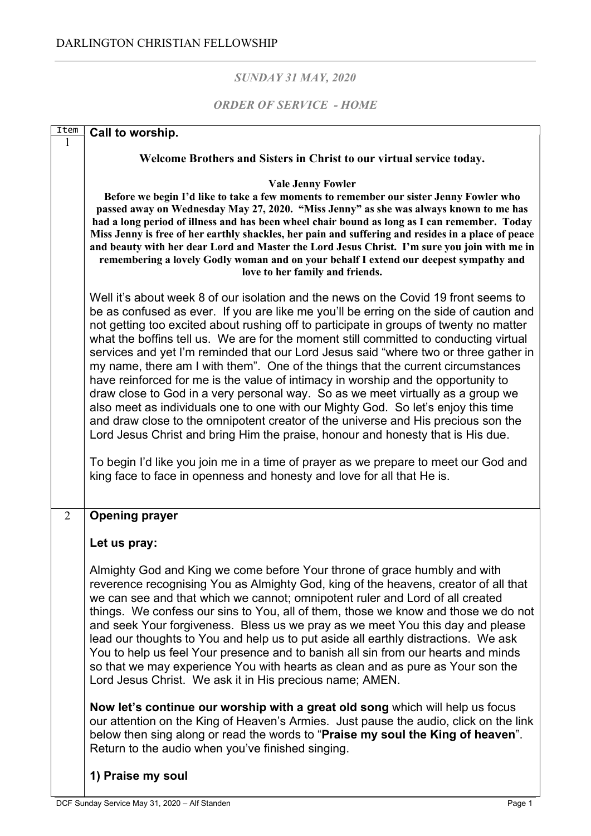## SUNDAY 31 MAY, 2020

## ORDER OF SERVICE - HOME

| Item<br>1      | Call to worship.                                                                                                                                                                                                                                                                                                                                                                                                                                                                                                                                                                                                                                                                                                                                                                                                                                                                                                                                                                                                                                                                                                                                   |
|----------------|----------------------------------------------------------------------------------------------------------------------------------------------------------------------------------------------------------------------------------------------------------------------------------------------------------------------------------------------------------------------------------------------------------------------------------------------------------------------------------------------------------------------------------------------------------------------------------------------------------------------------------------------------------------------------------------------------------------------------------------------------------------------------------------------------------------------------------------------------------------------------------------------------------------------------------------------------------------------------------------------------------------------------------------------------------------------------------------------------------------------------------------------------|
|                | Welcome Brothers and Sisters in Christ to our virtual service today.                                                                                                                                                                                                                                                                                                                                                                                                                                                                                                                                                                                                                                                                                                                                                                                                                                                                                                                                                                                                                                                                               |
|                | <b>Vale Jenny Fowler</b><br>Before we begin I'd like to take a few moments to remember our sister Jenny Fowler who<br>passed away on Wednesday May 27, 2020. "Miss Jenny" as she was always known to me has<br>had a long period of illness and has been wheel chair bound as long as I can remember. Today<br>Miss Jenny is free of her earthly shackles, her pain and suffering and resides in a place of peace<br>and beauty with her dear Lord and Master the Lord Jesus Christ. I'm sure you join with me in<br>remembering a lovely Godly woman and on your behalf I extend our deepest sympathy and<br>love to her family and friends.                                                                                                                                                                                                                                                                                                                                                                                                                                                                                                      |
|                | Well it's about week 8 of our isolation and the news on the Covid 19 front seems to<br>be as confused as ever. If you are like me you'll be erring on the side of caution and<br>not getting too excited about rushing off to participate in groups of twenty no matter<br>what the boffins tell us. We are for the moment still committed to conducting virtual<br>services and yet I'm reminded that our Lord Jesus said "where two or three gather in<br>my name, there am I with them". One of the things that the current circumstances<br>have reinforced for me is the value of intimacy in worship and the opportunity to<br>draw close to God in a very personal way. So as we meet virtually as a group we<br>also meet as individuals one to one with our Mighty God. So let's enjoy this time<br>and draw close to the omnipotent creator of the universe and His precious son the<br>Lord Jesus Christ and bring Him the praise, honour and honesty that is His due.<br>To begin I'd like you join me in a time of prayer as we prepare to meet our God and<br>king face to face in openness and honesty and love for all that He is. |
| $\overline{2}$ | <b>Opening prayer</b>                                                                                                                                                                                                                                                                                                                                                                                                                                                                                                                                                                                                                                                                                                                                                                                                                                                                                                                                                                                                                                                                                                                              |
|                | Let us pray:                                                                                                                                                                                                                                                                                                                                                                                                                                                                                                                                                                                                                                                                                                                                                                                                                                                                                                                                                                                                                                                                                                                                       |
|                | Almighty God and King we come before Your throne of grace humbly and with<br>reverence recognising You as Almighty God, king of the heavens, creator of all that<br>we can see and that which we cannot; omnipotent ruler and Lord of all created<br>things. We confess our sins to You, all of them, those we know and those we do not<br>and seek Your forgiveness. Bless us we pray as we meet You this day and please<br>lead our thoughts to You and help us to put aside all earthly distractions. We ask<br>You to help us feel Your presence and to banish all sin from our hearts and minds<br>so that we may experience You with hearts as clean and as pure as Your son the<br>Lord Jesus Christ. We ask it in His precious name; AMEN.                                                                                                                                                                                                                                                                                                                                                                                                 |
|                | Now let's continue our worship with a great old song which will help us focus<br>our attention on the King of Heaven's Armies. Just pause the audio, click on the link<br>below then sing along or read the words to "Praise my soul the King of heaven".<br>Return to the audio when you've finished singing.                                                                                                                                                                                                                                                                                                                                                                                                                                                                                                                                                                                                                                                                                                                                                                                                                                     |
|                | 1) Praise my soul                                                                                                                                                                                                                                                                                                                                                                                                                                                                                                                                                                                                                                                                                                                                                                                                                                                                                                                                                                                                                                                                                                                                  |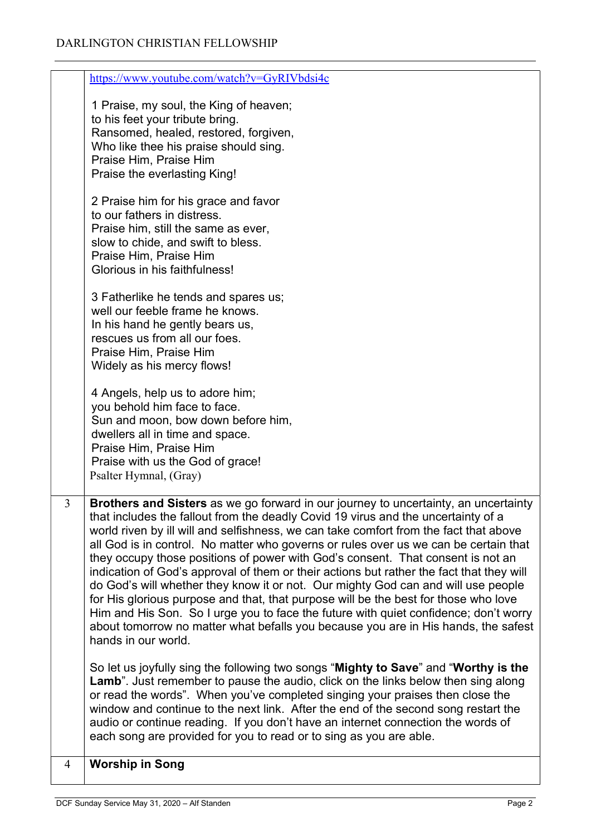|   | https://www.youtube.com/watch?v=GyRIVbdsi4c                                                                                                                                   |
|---|-------------------------------------------------------------------------------------------------------------------------------------------------------------------------------|
|   | 1 Praise, my soul, the King of heaven;                                                                                                                                        |
|   | to his feet your tribute bring.                                                                                                                                               |
|   | Ransomed, healed, restored, forgiven,<br>Who like thee his praise should sing.                                                                                                |
|   | Praise Him, Praise Him                                                                                                                                                        |
|   | Praise the everlasting King!                                                                                                                                                  |
|   | 2 Praise him for his grace and favor                                                                                                                                          |
|   | to our fathers in distress.                                                                                                                                                   |
|   | Praise him, still the same as ever,                                                                                                                                           |
|   | slow to chide, and swift to bless.<br>Praise Him, Praise Him                                                                                                                  |
|   | Glorious in his faithfulness!                                                                                                                                                 |
|   | 3 Fatherlike he tends and spares us;                                                                                                                                          |
|   | well our feeble frame he knows.                                                                                                                                               |
|   | In his hand he gently bears us,<br>rescues us from all our foes.                                                                                                              |
|   | Praise Him, Praise Him                                                                                                                                                        |
|   | Widely as his mercy flows!                                                                                                                                                    |
|   | 4 Angels, help us to adore him;                                                                                                                                               |
|   | you behold him face to face.                                                                                                                                                  |
|   | Sun and moon, bow down before him,<br>dwellers all in time and space.                                                                                                         |
|   | Praise Him, Praise Him                                                                                                                                                        |
|   | Praise with us the God of grace!                                                                                                                                              |
|   | Psalter Hymnal, (Gray)                                                                                                                                                        |
| 3 | Brothers and Sisters as we go forward in our journey to uncertainty, an uncertainty                                                                                           |
|   | that includes the fallout from the deadly Covid 19 virus and the uncertainty of a<br>world riven by ill will and selfishness, we can take comfort from the fact that above    |
|   | all God is in control. No matter who governs or rules over us we can be certain that                                                                                          |
|   | they occupy those positions of power with God's consent. That consent is not an                                                                                               |
|   | indication of God's approval of them or their actions but rather the fact that they will<br>do God's will whether they know it or not. Our mighty God can and will use people |
|   | for His glorious purpose and that, that purpose will be the best for those who love                                                                                           |
|   | Him and His Son. So I urge you to face the future with quiet confidence; don't worry                                                                                          |
|   | about tomorrow no matter what befalls you because you are in His hands, the safest<br>hands in our world.                                                                     |
|   | So let us joyfully sing the following two songs "Mighty to Save" and "Worthy is the                                                                                           |
|   | Lamb". Just remember to pause the audio, click on the links below then sing along                                                                                             |
|   | or read the words". When you've completed singing your praises then close the                                                                                                 |
|   | window and continue to the next link. After the end of the second song restart the<br>audio or continue reading. If you don't have an internet connection the words of        |
|   | each song are provided for you to read or to sing as you are able.                                                                                                            |
| 4 | <b>Worship in Song</b>                                                                                                                                                        |
|   |                                                                                                                                                                               |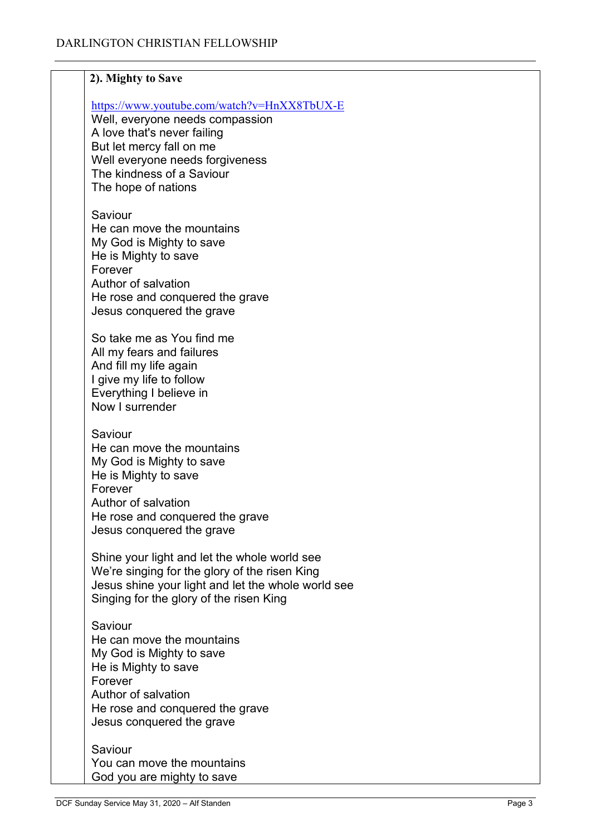| 2). Mighty to Save                                                                                                                                                                                                               |
|----------------------------------------------------------------------------------------------------------------------------------------------------------------------------------------------------------------------------------|
| https://www.youtube.com/watch?v=HnXX8TbUX-E<br>Well, everyone needs compassion<br>A love that's never failing<br>But let mercy fall on me<br>Well everyone needs forgiveness<br>The kindness of a Saviour<br>The hope of nations |
| Saviour<br>He can move the mountains<br>My God is Mighty to save<br>He is Mighty to save<br>Forever<br>Author of salvation<br>He rose and conquered the grave<br>Jesus conquered the grave                                       |
| So take me as You find me<br>All my fears and failures<br>And fill my life again<br>I give my life to follow<br>Everything I believe in<br>Now I surrender                                                                       |
| Saviour<br>He can move the mountains<br>My God is Mighty to save<br>He is Mighty to save<br>Forever<br>Author of salvation<br>He rose and conquered the grave<br>Jesus conquered the grave                                       |
| Shine your light and let the whole world see<br>We're singing for the glory of the risen King<br>Jesus shine your light and let the whole world see<br>Singing for the glory of the risen King                                   |
| Saviour<br>He can move the mountains<br>My God is Mighty to save<br>He is Mighty to save<br>Forever<br>Author of salvation<br>He rose and conquered the grave<br>Jesus conquered the grave                                       |
| Saviour<br>You can move the mountains<br>God you are mighty to save                                                                                                                                                              |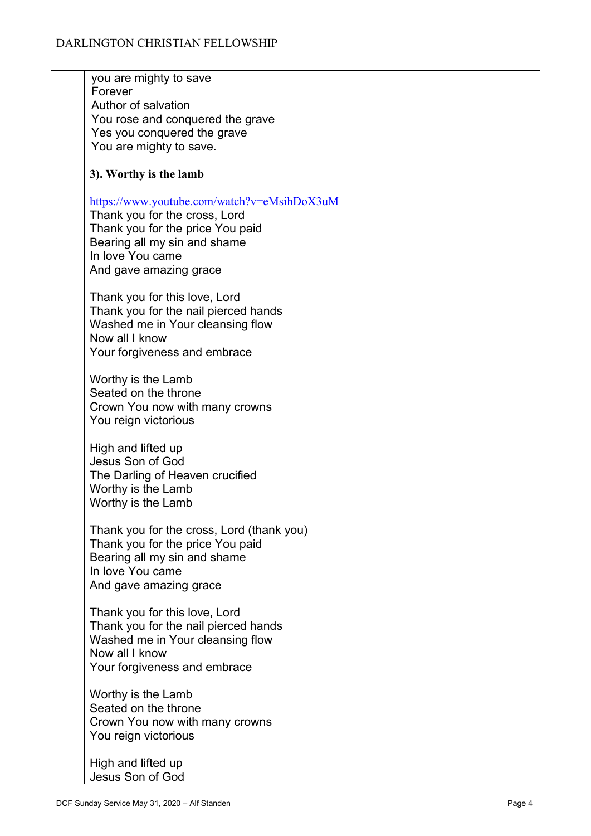you are mighty to save Forever Author of salvation You rose and conquered the grave Yes you conquered the grave You are mighty to save. 3). Worthy is the lamb https://www.youtube.com/watch?v=eMsihDoX3uM Thank you for the cross, Lord Thank you for the price You paid Bearing all my sin and shame In love You came And gave amazing grace Thank you for this love, Lord Thank you for the nail pierced hands Washed me in Your cleansing flow Now all I know Your forgiveness and embrace Worthy is the Lamb Seated on the throne Crown You now with many crowns You reign victorious High and lifted up Jesus Son of God The Darling of Heaven crucified Worthy is the Lamb Worthy is the Lamb Thank you for the cross, Lord (thank you) Thank you for the price You paid Bearing all my sin and shame In love You came And gave amazing grace Thank you for this love, Lord Thank you for the nail pierced hands Washed me in Your cleansing flow Now all I know Your forgiveness and embrace Worthy is the Lamb Seated on the throne Crown You now with many crowns You reign victorious High and lifted up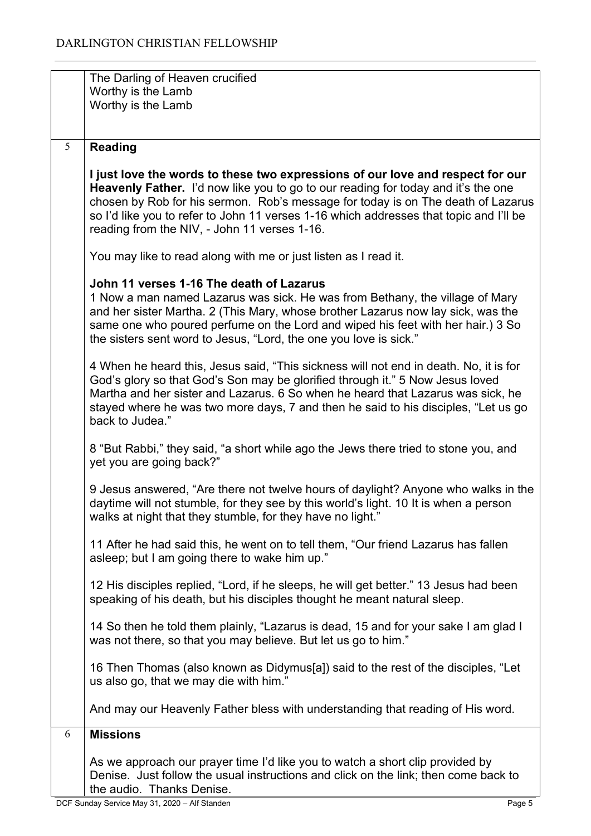|                 | The Darling of Heaven crucified<br>Worthy is the Lamb<br>Worthy is the Lamb                                                                                                                                                                                                                                                                                                                       |
|-----------------|---------------------------------------------------------------------------------------------------------------------------------------------------------------------------------------------------------------------------------------------------------------------------------------------------------------------------------------------------------------------------------------------------|
|                 |                                                                                                                                                                                                                                                                                                                                                                                                   |
| $5\overline{)}$ | <b>Reading</b>                                                                                                                                                                                                                                                                                                                                                                                    |
|                 | I just love the words to these two expressions of our love and respect for our<br>Heavenly Father. I'd now like you to go to our reading for today and it's the one<br>chosen by Rob for his sermon. Rob's message for today is on The death of Lazarus<br>so I'd like you to refer to John 11 verses 1-16 which addresses that topic and I'll be<br>reading from the NIV, - John 11 verses 1-16. |
|                 | You may like to read along with me or just listen as I read it.                                                                                                                                                                                                                                                                                                                                   |
|                 | John 11 verses 1-16 The death of Lazarus<br>1 Now a man named Lazarus was sick. He was from Bethany, the village of Mary<br>and her sister Martha. 2 (This Mary, whose brother Lazarus now lay sick, was the<br>same one who poured perfume on the Lord and wiped his feet with her hair.) 3 So<br>the sisters sent word to Jesus, "Lord, the one you love is sick."                              |
|                 | 4 When he heard this, Jesus said, "This sickness will not end in death. No, it is for<br>God's glory so that God's Son may be glorified through it." 5 Now Jesus loved<br>Martha and her sister and Lazarus. 6 So when he heard that Lazarus was sick, he<br>stayed where he was two more days, 7 and then he said to his disciples, "Let us go<br>back to Judea."                                |
|                 | 8 "But Rabbi," they said, "a short while ago the Jews there tried to stone you, and<br>yet you are going back?"                                                                                                                                                                                                                                                                                   |
|                 | 9 Jesus answered, "Are there not twelve hours of daylight? Anyone who walks in the<br>daytime will not stumble, for they see by this world's light. 10 It is when a person<br>walks at night that they stumble, for they have no light."                                                                                                                                                          |
|                 | 11 After he had said this, he went on to tell them, "Our friend Lazarus has fallen<br>asleep; but I am going there to wake him up."                                                                                                                                                                                                                                                               |
|                 | 12 His disciples replied, "Lord, if he sleeps, he will get better." 13 Jesus had been<br>speaking of his death, but his disciples thought he meant natural sleep.                                                                                                                                                                                                                                 |
|                 | 14 So then he told them plainly, "Lazarus is dead, 15 and for your sake I am glad I<br>was not there, so that you may believe. But let us go to him."                                                                                                                                                                                                                                             |
|                 | 16 Then Thomas (also known as Didymus[a]) said to the rest of the disciples, "Let<br>us also go, that we may die with him."                                                                                                                                                                                                                                                                       |
|                 | And may our Heavenly Father bless with understanding that reading of His word.                                                                                                                                                                                                                                                                                                                    |
| 6               | <b>Missions</b>                                                                                                                                                                                                                                                                                                                                                                                   |
|                 | As we approach our prayer time I'd like you to watch a short clip provided by<br>Denise. Just follow the usual instructions and click on the link; then come back to<br>the audio. Thanks Denise.                                                                                                                                                                                                 |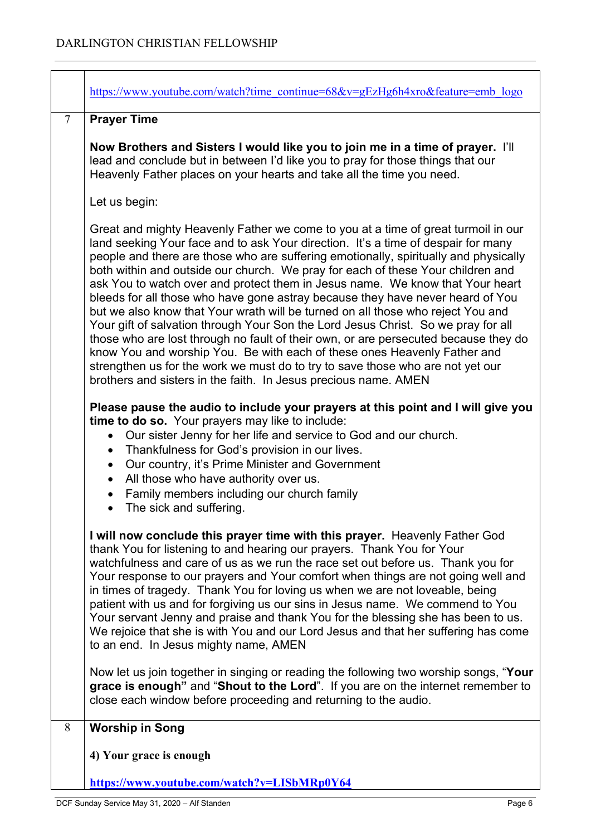|                | https://www.youtube.com/watch?time_continue=68&v=gEzHg6h4xro&feature=emb_logo                                                                                                                                                                                                                                                                                                                                                                                                                                                                                                                                                                                                                                                                                                                                                                                                                                                                                                                                        |
|----------------|----------------------------------------------------------------------------------------------------------------------------------------------------------------------------------------------------------------------------------------------------------------------------------------------------------------------------------------------------------------------------------------------------------------------------------------------------------------------------------------------------------------------------------------------------------------------------------------------------------------------------------------------------------------------------------------------------------------------------------------------------------------------------------------------------------------------------------------------------------------------------------------------------------------------------------------------------------------------------------------------------------------------|
| $\overline{7}$ | <b>Prayer Time</b>                                                                                                                                                                                                                                                                                                                                                                                                                                                                                                                                                                                                                                                                                                                                                                                                                                                                                                                                                                                                   |
|                | Now Brothers and Sisters I would like you to join me in a time of prayer. I'll<br>lead and conclude but in between I'd like you to pray for those things that our<br>Heavenly Father places on your hearts and take all the time you need.                                                                                                                                                                                                                                                                                                                                                                                                                                                                                                                                                                                                                                                                                                                                                                           |
|                | Let us begin:                                                                                                                                                                                                                                                                                                                                                                                                                                                                                                                                                                                                                                                                                                                                                                                                                                                                                                                                                                                                        |
|                | Great and mighty Heavenly Father we come to you at a time of great turmoil in our<br>land seeking Your face and to ask Your direction. It's a time of despair for many<br>people and there are those who are suffering emotionally, spiritually and physically<br>both within and outside our church. We pray for each of these Your children and<br>ask You to watch over and protect them in Jesus name. We know that Your heart<br>bleeds for all those who have gone astray because they have never heard of You<br>but we also know that Your wrath will be turned on all those who reject You and<br>Your gift of salvation through Your Son the Lord Jesus Christ. So we pray for all<br>those who are lost through no fault of their own, or are persecuted because they do<br>know You and worship You. Be with each of these ones Heavenly Father and<br>strengthen us for the work we must do to try to save those who are not yet our<br>brothers and sisters in the faith. In Jesus precious name. AMEN |
|                | Please pause the audio to include your prayers at this point and I will give you<br>time to do so. Your prayers may like to include:<br>• Our sister Jenny for her life and service to God and our church.<br>• Thankfulness for God's provision in our lives.<br>• Our country, it's Prime Minister and Government<br>All those who have authority over us.<br>$\bullet$<br>• Family members including our church family<br>• The sick and suffering.                                                                                                                                                                                                                                                                                                                                                                                                                                                                                                                                                               |
|                | I will now conclude this prayer time with this prayer. Heavenly Father God<br>thank You for listening to and hearing our prayers. Thank You for Your<br>watchfulness and care of us as we run the race set out before us. Thank you for<br>Your response to our prayers and Your comfort when things are not going well and<br>in times of tragedy. Thank You for loving us when we are not loveable, being<br>patient with us and for forgiving us our sins in Jesus name. We commend to You<br>Your servant Jenny and praise and thank You for the blessing she has been to us.<br>We rejoice that she is with You and our Lord Jesus and that her suffering has come<br>to an end. In Jesus mighty name, AMEN                                                                                                                                                                                                                                                                                                     |
|                | Now let us join together in singing or reading the following two worship songs, "Your<br>grace is enough" and "Shout to the Lord". If you are on the internet remember to<br>close each window before proceeding and returning to the audio.                                                                                                                                                                                                                                                                                                                                                                                                                                                                                                                                                                                                                                                                                                                                                                         |
| 8              | <b>Worship in Song</b>                                                                                                                                                                                                                                                                                                                                                                                                                                                                                                                                                                                                                                                                                                                                                                                                                                                                                                                                                                                               |
|                | 4) Your grace is enough                                                                                                                                                                                                                                                                                                                                                                                                                                                                                                                                                                                                                                                                                                                                                                                                                                                                                                                                                                                              |
|                | https://www.youtube.com/watch?v=LISbMRp0Y64                                                                                                                                                                                                                                                                                                                                                                                                                                                                                                                                                                                                                                                                                                                                                                                                                                                                                                                                                                          |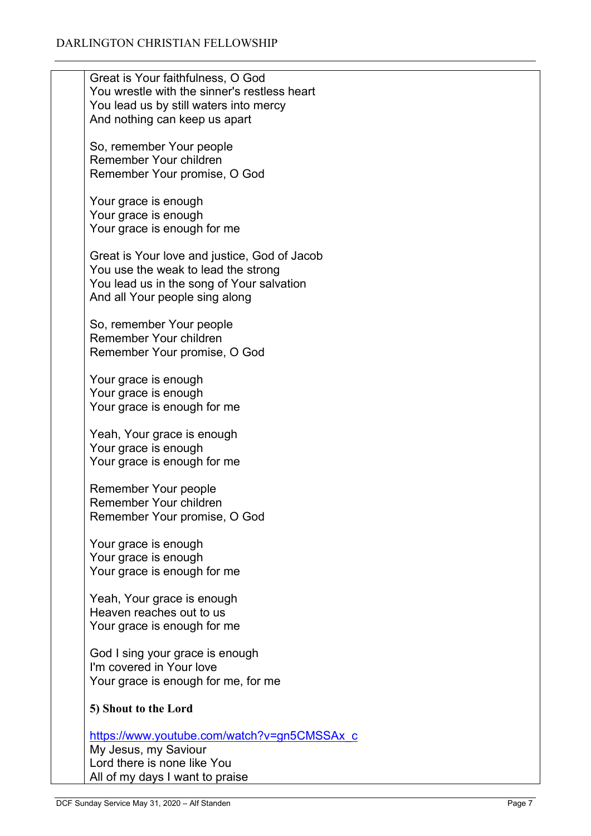| Great is Your faithfulness, O God<br>You wrestle with the sinner's restless heart<br>You lead us by still waters into mercy<br>And nothing can keep us apart       |
|--------------------------------------------------------------------------------------------------------------------------------------------------------------------|
| So, remember Your people<br>Remember Your children<br>Remember Your promise, O God                                                                                 |
| Your grace is enough<br>Your grace is enough<br>Your grace is enough for me                                                                                        |
| Great is Your love and justice, God of Jacob<br>You use the weak to lead the strong<br>You lead us in the song of Your salvation<br>And all Your people sing along |
| So, remember Your people<br>Remember Your children<br>Remember Your promise, O God                                                                                 |
| Your grace is enough<br>Your grace is enough<br>Your grace is enough for me                                                                                        |
| Yeah, Your grace is enough<br>Your grace is enough<br>Your grace is enough for me                                                                                  |
| Remember Your people<br>Remember Your children<br>Remember Your promise, O God                                                                                     |
| Your grace is enough<br>Your grace is enough<br>Your grace is enough for me                                                                                        |
| Yeah, Your grace is enough<br>Heaven reaches out to us<br>Your grace is enough for me                                                                              |
| God I sing your grace is enough<br>I'm covered in Your love<br>Your grace is enough for me, for me                                                                 |
| 5) Shout to the Lord                                                                                                                                               |
| https://www.youtube.com/watch?v=gn5CMSSAx_c<br>My Jesus, my Saviour<br>Lord there is none like You<br>All of my days I want to praise                              |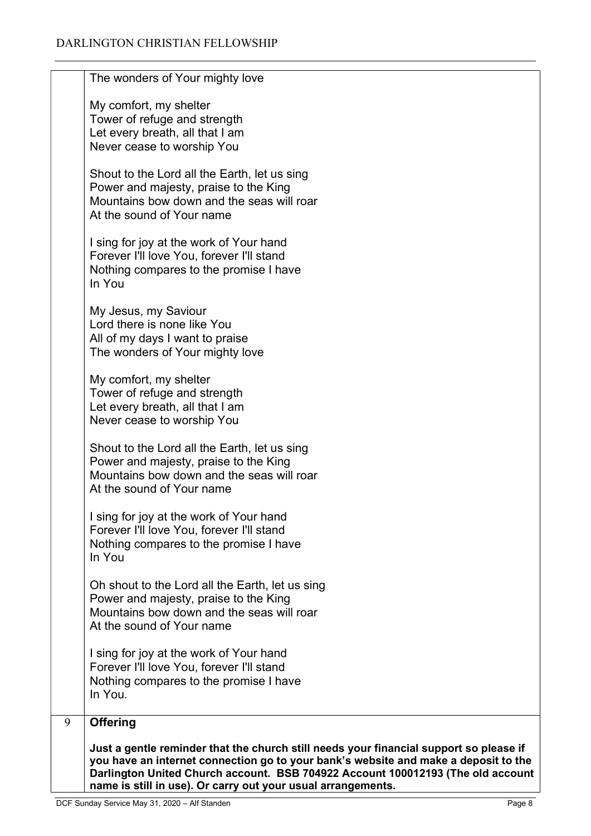|   | The wonders of Your mighty love                                                                                                                                        |
|---|------------------------------------------------------------------------------------------------------------------------------------------------------------------------|
|   | My comfort, my shelter                                                                                                                                                 |
|   | Tower of refuge and strength                                                                                                                                           |
|   | Let every breath, all that I am                                                                                                                                        |
|   | Never cease to worship You                                                                                                                                             |
|   | Shout to the Lord all the Earth, let us sing                                                                                                                           |
|   | Power and majesty, praise to the King                                                                                                                                  |
|   | Mountains bow down and the seas will roar                                                                                                                              |
|   | At the sound of Your name                                                                                                                                              |
|   | I sing for joy at the work of Your hand                                                                                                                                |
|   | Forever I'll love You, forever I'll stand                                                                                                                              |
|   | Nothing compares to the promise I have                                                                                                                                 |
|   | In You                                                                                                                                                                 |
|   |                                                                                                                                                                        |
|   | My Jesus, my Saviour<br>Lord there is none like You                                                                                                                    |
|   | All of my days I want to praise                                                                                                                                        |
|   | The wonders of Your mighty love                                                                                                                                        |
|   |                                                                                                                                                                        |
|   | My comfort, my shelter                                                                                                                                                 |
|   | Tower of refuge and strength<br>Let every breath, all that I am                                                                                                        |
|   | Never cease to worship You                                                                                                                                             |
|   |                                                                                                                                                                        |
|   | Shout to the Lord all the Earth, let us sing                                                                                                                           |
|   | Power and majesty, praise to the King<br>Mountains bow down and the seas will roar                                                                                     |
|   | At the sound of Your name                                                                                                                                              |
|   |                                                                                                                                                                        |
|   | I sing for joy at the work of Your hand                                                                                                                                |
|   | Forever I'll love You, forever I'll stand                                                                                                                              |
|   | Nothing compares to the promise I have<br>In You                                                                                                                       |
|   |                                                                                                                                                                        |
|   | Oh shout to the Lord all the Earth, let us sing                                                                                                                        |
|   | Power and majesty, praise to the King                                                                                                                                  |
|   | Mountains bow down and the seas will roar                                                                                                                              |
|   | At the sound of Your name                                                                                                                                              |
|   | I sing for joy at the work of Your hand                                                                                                                                |
|   | Forever I'll love You, forever I'll stand                                                                                                                              |
|   | Nothing compares to the promise I have                                                                                                                                 |
|   | In You.                                                                                                                                                                |
| 9 | <b>Offering</b>                                                                                                                                                        |
|   | Just a gentle reminder that the church still needs your financial support so please if                                                                                 |
|   | you have an internet connection go to your bank's website and make a deposit to the<br>Darlington United Church account. BSB 704922 Account 100012193 (The old account |

DCF Sunday Service May 31, 2020 – Alf Standen Page 8

name is still in use). Or carry out your usual arrangements.